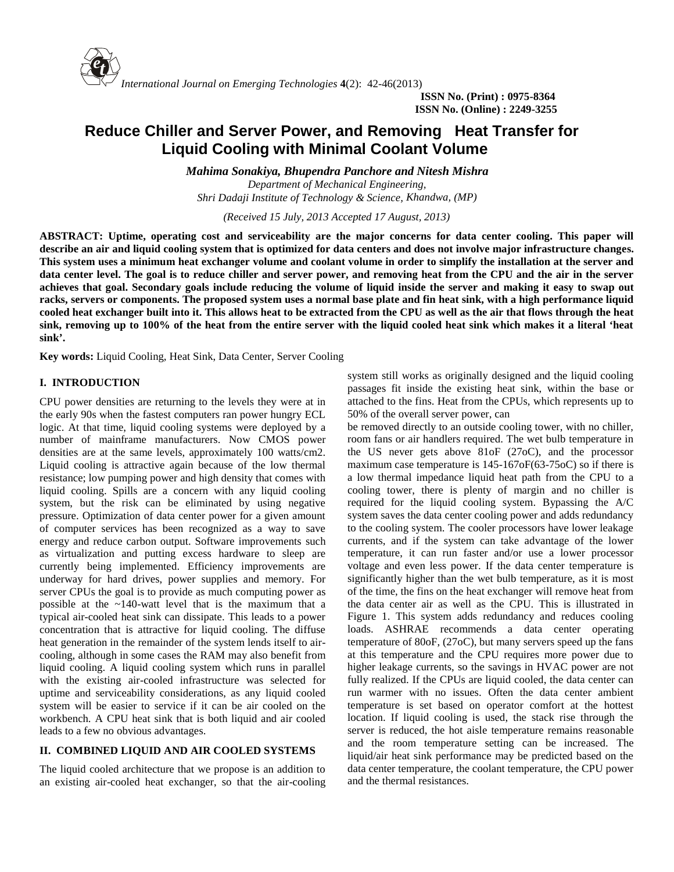

**ISSN No. (Print) : 0975-8364 ISSN No. (Online) : 2249-3255**

# **Reduce Chiller and Server Power, and Removing Heat Transfer for Liquid Cooling with Minimal Coolant Volume**

*Mahima Sonakiya, Bhupendra Panchore and Nitesh Mishra*

*Department of Mechanical Engineering, Shri Dadaji Institute of Technology & Science, Khandwa, (MP)*

*(Received 15 July, 2013 Accepted 17 August, 2013)*

**ABSTRACT: Uptime, operating cost and serviceability are the major concerns for data center cooling. This paper will describe an air and liquid cooling system that is optimized for data centers and does not involve major infrastructure changes. This system uses a minimum heat exchanger volume and coolant volume in order to simplify the installation at the server and data center level. The goal is to reduce chiller and server power, and removing heat from the CPU and the air in the server achieves that goal. Secondary goals include reducing the volume of liquid inside the server and making it easy to swap out racks, servers or components. The proposed system uses a normal base plate and fin heat sink, with a high performance liquid cooled heat exchanger built into it. This allows heat to be extracted from the CPU as well as the air that flows through the heat sink, removing up to 100% of the heat from the entire server with the liquid cooled heat sink which makes it a literal 'heat sink'.**

**Key words:** Liquid Cooling, Heat Sink, Data Center, Server Cooling

## **I. INTRODUCTION**

CPU power densities are returning to the levels they were at in the early 90s when the fastest computers ran power hungry ECL logic. At that time, liquid cooling systems were deployed by a number of mainframe manufacturers. Now CMOS power densities are at the same levels, approximately 100 watts/cm2. Liquid cooling is attractive again because of the low thermal resistance; low pumping power and high density that comes with liquid cooling. Spills are a concern with any liquid cooling system, but the risk can be eliminated by using negative pressure. Optimization of data center power for a given amount of computer services has been recognized as a way to save energy and reduce carbon output. Software improvements such as virtualization and putting excess hardware to sleep are currently being implemented. Efficiency improvements are underway for hard drives, power supplies and memory. For server CPUs the goal is to provide as much computing power as possible at the ~140-watt level that is the maximum that a typical air-cooled heat sink can dissipate. This leads to a power concentration that is attractive for liquid cooling. The diffuse heat generation in the remainder of the system lends itself to air cooling, although in some cases the RAM may also benefit from liquid cooling. A liquid cooling system which runs in parallel with the existing air-cooled infrastructure was selected for uptime and serviceability considerations, as any liquid cooled system will be easier to service if it can be air cooled on the workbench. A CPU heat sink that is both liquid and air cooled leads to a few no obvious advantages.

### **II. COMBINED LIQUID AND AIR COOLED SYSTEMS**

The liquid cooled architecture that we propose is an addition to an existing air-cooled heat exchanger, so that the air-cooling system still works as originally designed and the liquid cooling passages fit inside the existing heat sink, within the base or attached to the fins. Heat from the CPUs, which represents up to 50% of the overall server power, can

be removed directly to an outside cooling tower, with no chiller, room fans or air handlers required. The wet bulb temperature in the US never gets above 81oF (27oC), and the processor maximum case temperature is 145-167oF(63-75oC) so if there is a low thermal impedance liquid heat path from the CPU to a cooling tower, there is plenty of margin and no chiller is required for the liquid cooling system. Bypassing the A/C system saves the data center cooling power and adds redundancy to the cooling system. The cooler processors have lower leakage currents, and if the system can take advantage of the lower temperature, it can run faster and/or use a lower processor voltage and even less power. If the data center temperature is significantly higher than the wet bulb temperature, as it is most of the time, the fins on the heat exchanger will remove heat from the data center air as well as the CPU. This is illustrated in Figure 1. This system adds redundancy and reduces cooling loads. ASHRAE recommends a data center operating temperature of 80oF, (27oC), but many servers speed up the fans at this temperature and the CPU requires more power due to higher leakage currents, so the savings in HVAC power are not fully realized. If the CPUs are liquid cooled, the data center can run warmer with no issues. Often the data center ambient temperature is set based on operator comfort at the hottest location. If liquid cooling is used, the stack rise through the server is reduced, the hot aisle temperature remains reasonable and the room temperature setting can be increased. The liquid/air heat sink performance may be predicted based on the data center temperature, the coolant temperature, the CPU power and the thermal resistances.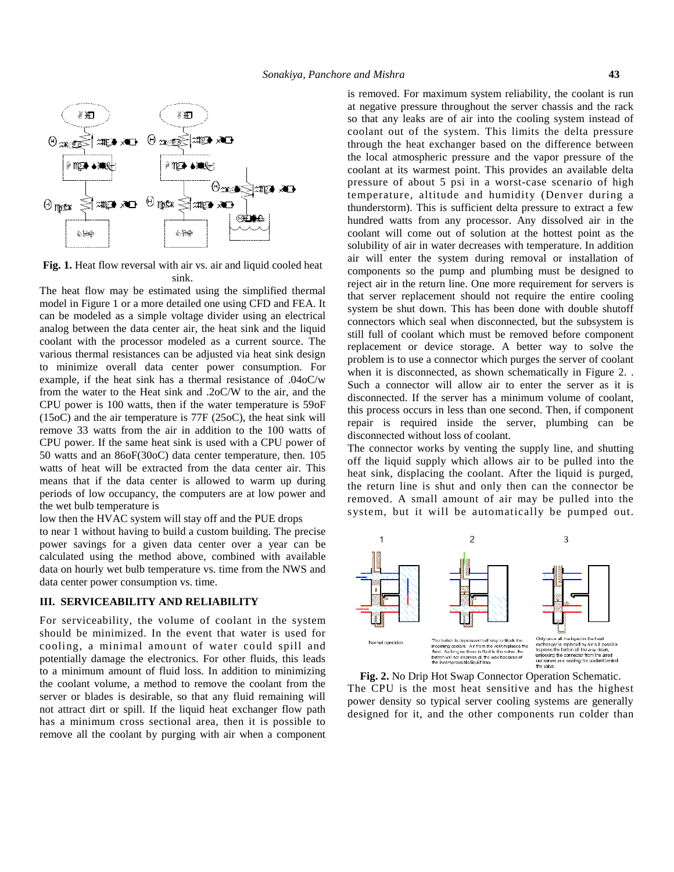

**Fig. 1.** Heat flow reversal with air vs. air and liquid cooled heat sink.

The heat flow may be estimated using the simplified thermal model in Figure 1 or a more detailed one using CFD and FEA. It can be modeled as a simple voltage divider using an electrical analog between the data center air, the heat sink and the liquid coolant with the processor modeled as a current source. The various thermal resistances can be adjusted via heat sink design to minimize overall data center power consumption. For example, if the heat sink has a thermal resistance of .04oC/w from the water to the Heat sink and .2oC/W to the air, and the CPU power is 100 watts, then if the water temperature is 59oF (15oC) and the air temperature is 77F (25oC), the heat sink will remove 33 watts from the air in addition to the 100 watts of CPU power. If the same heat sink is used with a CPU power of 50 watts and an 86oF(30oC) data center temperature, then. 105 watts of heat will be extracted from the data center air. This means that if the data center is allowed to warm up during periods of low occupancy, the computers are at low power and the wet bulb temperature is

low then the HVAC system will stay off and the PUE drops to near 1 without having to build a custom building. The precise power savings for a given data center over a year can be calculated using the method above, combined with available data on hourly wet bulb temperature vs. time from the NWS and data center power consumption vs. time.

#### **III. SERVICEABILITY AND RELIABILITY**

For serviceability, the volume of coolant in the system should be minimized. In the event that water is used for cooling, a minimal amount of water could spill and potentially damage the electronics. For other fluids, this leads to a minimum amount of fluid loss. In addition to minimizing the coolant volume, a method to remove the coolant from the server or blades is desirable, so that any fluid remaining will not attract dirt or spill. If the liquid heat exchanger flow path has a minimum cross sectional area, then it is possible to remove all the coolant by purging with air when a component is removed. For maximum system reliability, the coolant is run at negative pressure throughout the server chassis and the rack so that any leaks are of air into the cooling system instead of coolant out of the system. This limits the delta pressure through the heat exchanger based on the difference between the local atmospheric pressure and the vapor pressure of the coolant at its warmest point. This provides an available delta pressure of about 5 psi in a worst-case scenario of high temperature, altitude and humidity (Denver during a thunderstorm). This is sufficient delta pressure to extract a few hundred watts from any processor. Any dissolved air in the coolant will come out of solution at the hottest point as the solubility of air in water decreases with temperature. In addition air will enter the system during removal or installation of components so the pump and plumbing must be designed to reject air in the return line. One more requirement for servers is that server replacement should not require the entire cooling system be shut down. This has been done with double shutoff connectors which seal when disconnected, but the subsystem is still full of coolant which must be removed before component replacement or device storage. A better way to solve the problem is to use a connector which purges the server of coolant when it is disconnected, as shown schematically in Figure 2... Such a connector will allow air to enter the server as it is disconnected. If the server has a minimum volume of coolant, this process occurs in less than one second. Then, if component repair is required inside the server, plumbing can be disconnected without loss of coolant.

The connector works by venting the supply line, and shutting off the liquid supply which allows air to be pulled into the heat sink, displacing the coolant. After the liquid is purged, the return line is shut and only then can the connector be removed. A small amount of air may be pulled into the system, but it will be automatically be pumped out.



**Fig. 2.** No Drip Hot Swap Connector Operation Schematic. The CPU is the most heat sensitive and has the highest power density so typical server cooling systems are generally designed for it, and the other components run colder than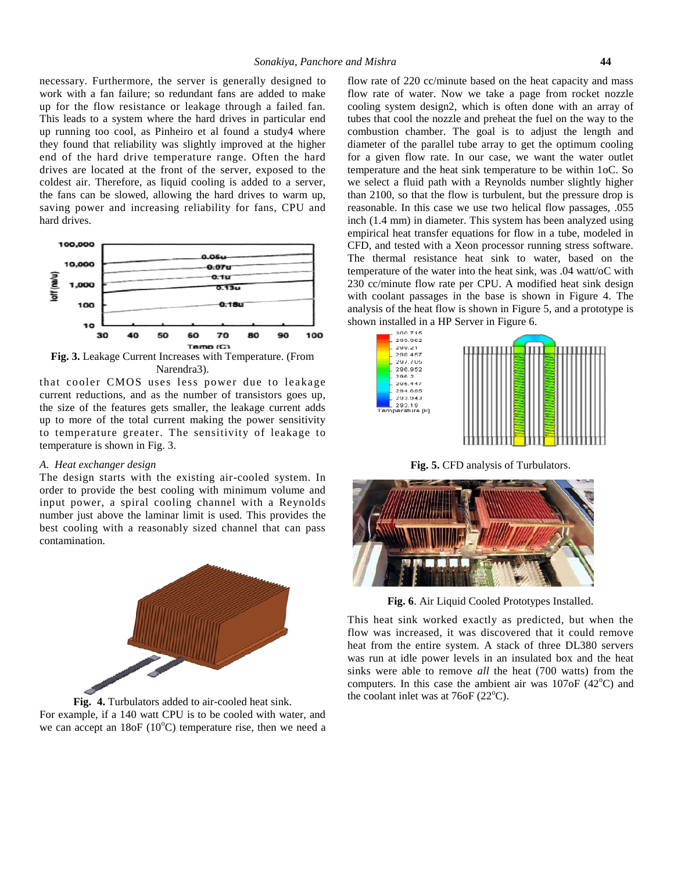necessary. Furthermore, the server is generally designed to work with a fan failure; so redundant fans are added to make up for the flow resistance or leakage through a failed fan. This leads to a system where the hard drives in particular end up running too cool, as Pinheiro et al found a study4 where they found that reliability was slightly improved at the higher end of the hard drive temperature range. Often the hard drives are located at the front of the server, exposed to the coldest air. Therefore, as liquid cooling is added to a server, the fans can be slowed, allowing the hard drives to warm up, saving power and increasing reliability for fans, CPU and hard drives.



Narendra3).

that cooler CMOS uses less power due to leakage current reductions, and as the number of transistors goes up, the size of the features gets smaller, the leakage current adds up to more of the total current making the power sensitivity to temperature greater. The sensitivity of leakage to temperature is shown in Fig. 3.

#### *A. Heat exchanger design*

The design starts with the existing air-cooled system. In order to provide the best cooling with minimum volume and input power, a spiral cooling channel with a Reynolds number just above the laminar limit is used. This provides the best cooling with a reasonably sized channel that can pass contamination.



**Fig. 4.** Turbulators added to air-cooled heat sink. For example, if a 140 watt CPU is to be cooled with water, and we can accept an 18oF  $(10^{\circ}C)$  temperature rise, then we need a

flow rate of 220 cc/minute based on the heat capacity and mass flow rate of water. Now we take a page from rocket nozzle cooling system design2, which is often done with an array of tubes that cool the nozzle and preheat the fuel on the way to the combustion chamber. The goal is to adjust the length and diameter of the parallel tube array to get the optimum cooling for a given flow rate. In our case, we want the water outlet temperature and the heat sink temperature to be within 1oC. So we select a fluid path with a Reynolds number slightly higher than 2100, so that the flow is turbulent, but the pressure drop is reasonable. In this case we use two helical flow passages, .055 inch (1.4 mm) in diameter. This system has been analyzed using empirical heat transfer equations for flow in a tube, modeled in CFD, and tested with a Xeon processor running stress software. The thermal resistance heat sink to water, based on the temperature of the water into the heat sink, was .04 watt/oC with 230 cc/minute flow rate per CPU. A modified heat sink design with coolant passages in the base is shown in Figure 4. The analysis of the heat flow is shown in Figure 5, and a prototype is shown installed in a HP Server in Figure 6.



**Fig. 5.** CFD analysis of Turbulators.



**Fig. 6**. Air Liquid Cooled Prototypes Installed.

This heat sink worked exactly as predicted, but when the flow was increased, it was discovered that it could remove heat from the entire system. A stack of three DL380 servers was run at idle power levels in an insulated box and the heat sinks were able to remove *all* the heat (700 watts) from the computers. In this case the ambient air was  $107 \cdot \text{of } (42^{\circ} \text{C})$  and the coolant inlet was at  $76$ oF (22 $^{\circ}$ C).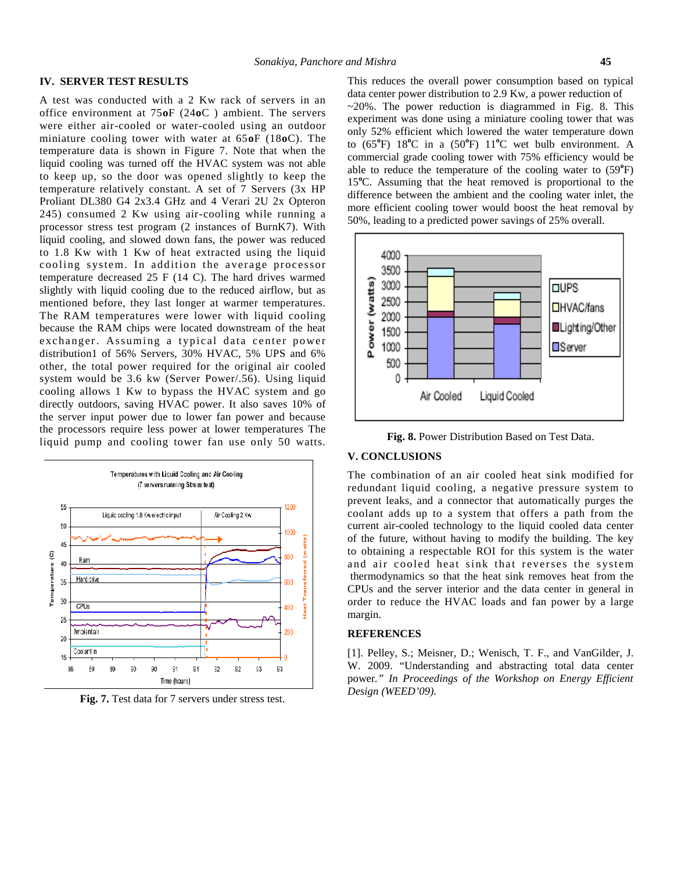#### **IV. SERVER TEST RESULTS**

A test was conducted with a 2 Kw rack of servers in an office environment at 75**o**F (24**o**C ) ambient. The servers were either air-cooled or water-cooled using an outdoor miniature cooling tower with water at 65**o**F (18**o**C). The temperature data is shown in Figure 7. Note that when the liquid cooling was turned off the HVAC system was not able to keep up, so the door was opened slightly to keep the temperature relatively constant. A set of 7 Servers (3x HP Proliant DL380 G4 2x3.4 GHz and 4 Verari 2U 2x Opteron 245) consumed 2 Kw using air-cooling while running a processor stress test program (2 instances of BurnK7). With liquid cooling, and slowed down fans, the power was reduced to 1.8 Kw with 1 Kw of heat extracted using the liquid Proliant DL380 G4 2x3.4 GHz and 4 Verari 2U 2x Opteron<br>245) consumed 2 Kw using air-cooling while running a<br>processor stress test program (2 instances of BurnK7). With<br>liquid cooling, and slowed down fans, the power was r temperature decreased 25 F (14 C). The hard drives warmed slightly with liquid cooling due to the reduced airflow, but as mentioned before, they last longer at warmer temperatures. The RAM temperatures were lower with liquid cooling because the RAM chips were located downstream of the heat temperature decreased 25 F (14 C). The hard drives warmed<br>slightly with liquid cooling due to the reduced airflow, but as<br>mentioned before, they last longer at warmer temperatures.<br>The RAM temperatures were lower with liqu distribution is the total power required for the original air cooled<br>of the the total power results of  $\frac{12}{100}$ <br>of  $\frac{12}{100}$ <br>of  $\frac{12}{100}$ <br>of  $\frac{12}{100}$ <br>of  $\frac{12}{100}$ <br>of  $\frac{12}{100}$ <br>of  $\frac{12}{100}$ <br>of  $\frac{12$ other, the total power required for the original air cooled system would be 3.6 kw (Server Power/.56). Using liquid cooling allows 1 Kw to bypass the HVAC system and go directly outdoors, saving HVAC power. It also saves 10% of the server input power due to lower fan power and because the processors require less power at lower temperatures The liquid pump and cooling tower fan use only 50 watts.



**Fig. 7.** Test data for 7 servers under stress test.

This reduces the overall power consumption based on typical data center power distribution to 2.9 Kw, a power reduction of  $\approx$  20%. The power reduction is diagrammed in Fig. 8. This experiment was done using a miniature cooling tower that was only 52% efficient which lowered the water temperature down to (65**<sup>o</sup>**F) 18**<sup>o</sup>**C in a (50**<sup>o</sup>**F) 11**<sup>o</sup>**C wet bulb environment. A commercial grade cooling tower with 75% efficiency would be able to reduce the temperature of the cooling water to (59**<sup>o</sup>**F) 15**<sup>o</sup>**C. Assuming that the heat removed is proportional to the difference between the ambient and the cooling water inlet, the more efficient cooling tower would boost the heat removal by 50%, leading to a predicted power savings of 25% overall.



**Fig. 8.** Power Distribution Based on Test Data.

# **V. CONCLUSIONS**

The combination of an air cooled heat sink modified for redundant liquid cooling, a negative pressure system to prevent leaks, and a connector that automatically purges the coolant adds up to a system that offers a path from the current air-cooled technology to the liquid cooled data center of the future, without having to modify the building. The key to obtaining a respectable ROI for this system is the water and air cooled heat sink that reverses the system thermodynamics so that the heat sink removes heat from the CPUs and the server interior and the data center in general in order to reduce the HVAC loads and fan power by a large margin.

# **REFERENCES**

[1]. Pelley, S.; Meisner, D.; Wenisch, T. F., and VanGilder, J. W. 2009. "Understanding and abstracting total data center power*." In Proceedings of the Workshop on Energy Efficient Design (WEED'09).*